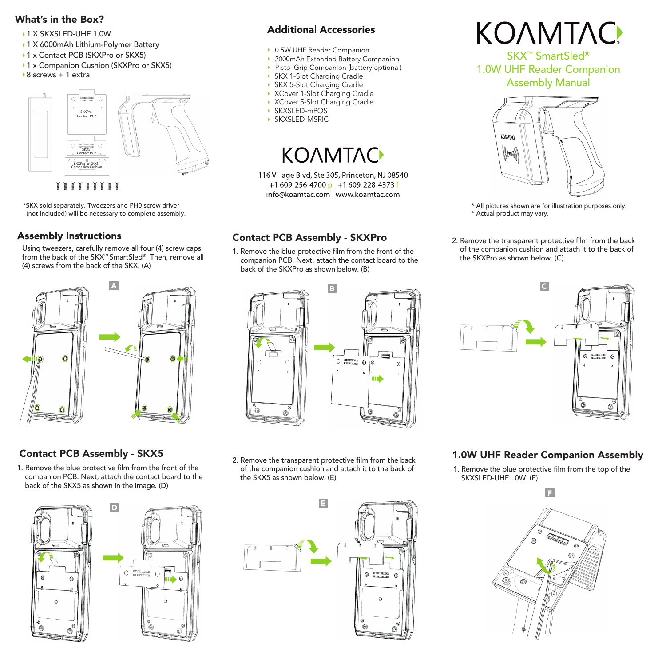#### What's in the Box?

- ▶ 1 X SKXSLED-UHF 1.0W
- ▶ 1 X 6000mAh Lithium-Polymer Battery
- ▶ 1 x Contact PCB (SKXPro or SKX5)
- ▶ 1 x Companion Cushion (SKXPro or SKX5)
- ▶ 8 screws + 1 extra



\*SKX sold separately. Tweezers and PH0 screw driver (not included) will be necessary to complete assembly.

#### **Assembly Instructions**

Using tweezers, carefully remove all four (4) screw caps from the back of the SKX™ SmartSled®. Then, remove all (4) screws from the back of the SKX. (A)



# Contact PCB Assembly - SKX5

1. Remove the blue protective film from the front of the companion PCB. Next, attach the contact board to the back of the SKX5 as shown in the image. (D)



### **Additional Accessories**

- ▶ 0.5W UHF Reader Companion
- ▶ 2000mAh Extended Battery Companion
- Pistol Grip Companion (battery optional)
- SKX 1-Slot Charging Cradle
- ▶ SKX 5-Slot Charging Cradle
- XCover 1-Slot Charging Cradle
- ▶ XCover 5-Slot Charging Cradle
- SKXSLED-mPOS
- SKXSLED-MSRIC

# **KOAMTAC**

116 Village Blvd, Ste 305, Princeton, NJ 08540 +1 609-256-4700 p +1 609-228-4373 f info@koamtac.com | www.koamtac.com

### Contact PCB Assembly - SKXPro

1. Remove the blue protective film from the front of the companion PCB. Next, attach the contact board to the back of the SKXPro as shown below. (B)



2. Remove the transparent protective film from the back of the companion cushion and attach it to the back of the SKX5 as shown below. (E)





SKX™ SmartSled® 1.0W UHF Reader Companion Assembly Manual



- \* All pictures shown are for illustration purposes only. \* Actual product may vary.
- 2. Remove the transparent protective film from the back of the companion cushion and attach it to the back of the SKXPro as shown below. (C)



#### 1.0W UHF Reader Companion Assembly

1. Remove the blue protective film from the top of the SKXSLED-UHF1.0W. (F)